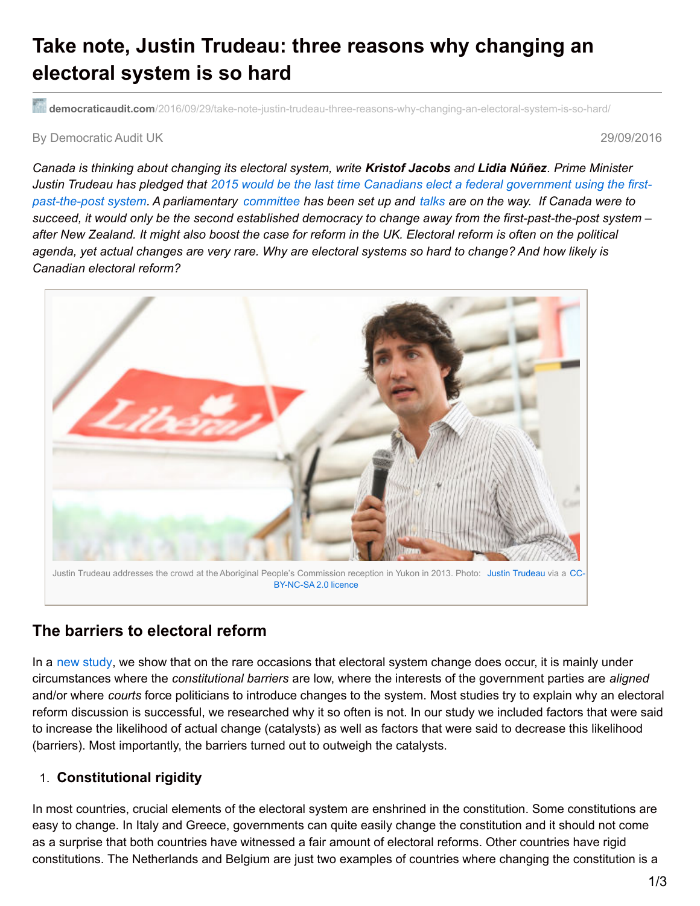# **Take note, Justin Trudeau: three reasons why changing an electoral system is so hard**

**democraticaudit.com**[/2016/09/29/take-note-justin-trudeau-three-reasons-why-changing-an-electoral-system-is-so-hard/](http://www.democraticaudit.com/2016/09/29/take-note-justin-trudeau-three-reasons-why-changing-an-electoral-system-is-so-hard/)

#### By Democratic Audit UK 29/09/2016

Canada is thinking about changing its electoral system, write Kristof Jacobs and Lidia Núñez. Prime Minister Justin Trudeau has pledged that 2015 would be the last time Canadians elect a federal government using the firstpast-the-post system. A [parliamentary](http://www.cbc.ca/news/politics/justin-trudeau-electoral-reform-first-past-the-post-1.3292694) [committee](http://www.parl.gc.ca/Committees/en/ERRE) has been set up and [talks](http://ottawacitizen.com/news/politics/kady-liveblog-mps-hear-from-academics-e-democracy-expert-as-electoral-reform-study-continues) are on the way. If Canada were to succeed, it would only be the second established democracy to change away from the first-past-the-post system after New Zealand. It might also boost the case for reform in the UK. Electoral reform is often on the political agenda, yet actual changes are very rare. Why are electoral systems so hard to change? And how likely is *Canadian electoral reform?*



## **The barriers to electoral reform**

In a new [study](http://cevipol.ulb.be/sites/default/files/Contenu/nunez_et_al-2016-european_journal_of_political_research.pdf), we show that on the rare occasions that electoral system change does occur, it is mainly under circumstances where the *constitutional barriers* are low, where the interests of the government parties are *aligned* and/or where *courts* force politicians to introduce changes to the system. Most studies try to explain why an electoral reform discussion is successful, we researched why it so often is not. In our study we included factors that were said to increase the likelihood of actual change (catalysts) as well as factors that were said to decrease this likelihood (barriers). Most importantly, the barriers turned out to outweigh the catalysts.

### 1. **Constitutional rigidity**

In most countries, crucial elements of the electoral system are enshrined in the constitution. Some constitutions are easy to change. In Italy and Greece, governments can quite easily change the constitution and it should not come as a surprise that both countries have witnessed a fair amount of electoral reforms. Other countries have rigid constitutions. The Netherlands and Belgium are just two examples of countries where changing the constitution is a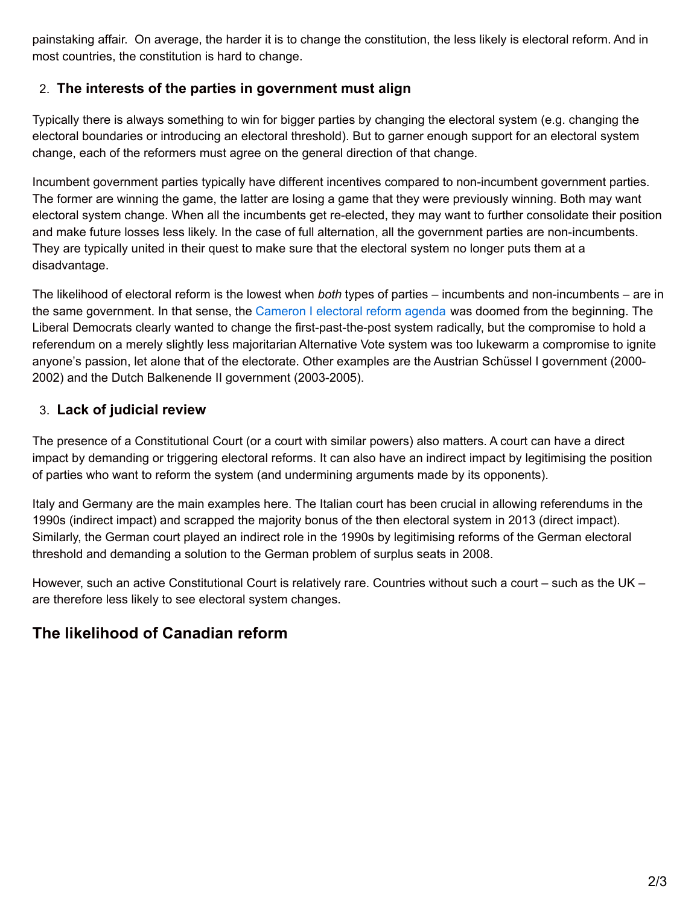painstaking affair. On average, the harder it is to change the constitution, the less likely is electoral reform. And in most countries, the constitution is hard to change.

## 2. **The interests of the parties in government must align**

Typically there is always something to win for bigger parties by changing the electoral system (e.g. changing the electoral boundaries or introducing an electoral threshold). But to garner enough support for an electoral system change, each of the reformers must agree on the general direction of that change.

Incumbent government parties typically have different incentives compared to non-incumbent government parties. The former are winning the game, the latter are losing a game that they were previously winning. Both may want electoral system change. When all the incumbents get re-elected, they may want to further consolidate their position and make future losses less likely. In the case of full alternation, all the government parties are non-incumbents. They are typically united in their quest to make sure that the electoral system no longer puts them at a disadvantage.

The likelihood of electoral reform is the lowest when *both* types of parties – incumbents and non-incumbents – are in the same government. In that sense, the [Cameron](http://www.bbc.co.uk/news/uk-politics-13297573) I electoral reform agenda was doomed from the beginning. The Liberal Democrats clearly wanted to change the first-past-the-post system radically, but the compromise to hold a referendum on a merely slightly less majoritarian Alternative Vote system was too lukewarm a compromise to ignite anyone's passion, let alone that of the electorate. Other examples are the Austrian Schüssel I government (2000- 2002) and the Dutch Balkenende II government (2003-2005).

## 3. **Lack of judicial review**

The presence of a Constitutional Court (or a court with similar powers) also matters. A court can have a direct impact by demanding or triggering electoral reforms. It can also have an indirect impact by legitimising the position of parties who want to reform the system (and undermining arguments made by its opponents).

Italy and Germany are the main examples here. The Italian court has been crucial in allowing referendums in the 1990s (indirect impact) and scrapped the majority bonus of the then electoral system in 2013 (direct impact). Similarly, the German court played an indirect role in the 1990s by legitimising reforms of the German electoral threshold and demanding a solution to the German problem of surplus seats in 2008.

However, such an active Constitutional Court is relatively rare. Countries without such a court – such as the UK – are therefore less likely to see electoral system changes.

## **The likelihood of Canadian reform**